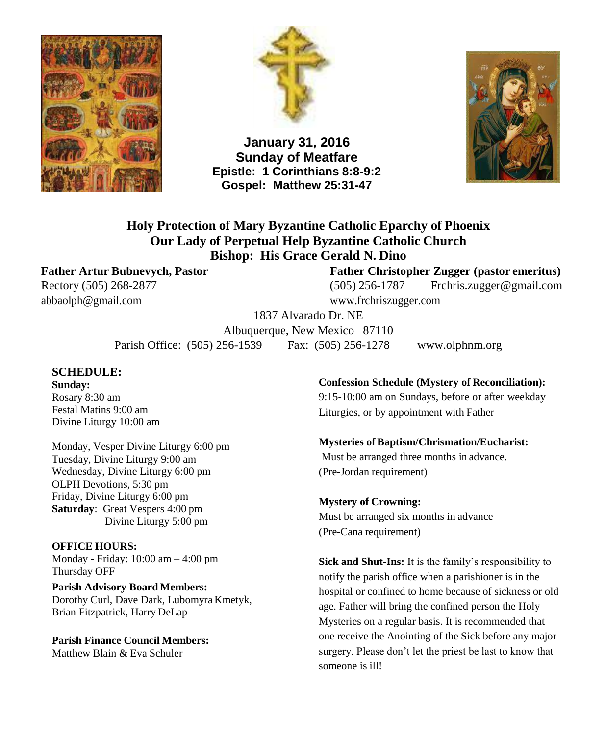



**January 31, 2016 Sunday of Meatfare Epistle: 1 Corinthians 8:8-9:2 Gospel: Matthew 25:31-47**



**Holy Protection of Mary Byzantine Catholic Eparchy of Phoenix Our Lady of Perpetual Help Byzantine Catholic Church Bishop: His Grace Gerald N. Dino**

[abbaolph@gmail.com](mailto:abbaolph@gmail.com) [www.frchriszugger.com](http://www.frchriszugger.com/)

### **Father Artur Bubnevych, Pastor Father Christopher Zugger (pastor emeritus)**

Rectory (505) 268-2877 (505) 256-1787 [Frchris.zugger@gmail.com](mailto:Frchris.zugger@gmail.com)

1837 Alvarado Dr. NE Albuquerque, New Mexico 87110 Parish Office: (505) 256-1539 Fax: (505) 256-1278 [www.olphnm.org](http://www.olphnm.org/)

### **SCHEDULE:**

**Sunday:** Rosary 8:30 am Festal Matins 9:00 am Divine Liturgy 10:00 am

Monday, Vesper Divine Liturgy 6:00 pm Tuesday, Divine Liturgy 9:00 am Wednesday, Divine Liturgy 6:00 pm OLPH Devotions, 5:30 pm Friday, Divine Liturgy 6:00 pm **Saturday**: Great Vespers 4:00 pm Divine Liturgy 5:00 pm

#### **OFFICE HOURS:**

Monday - Friday: 10:00 am – 4:00 pm Thursday OFF

**Parish Advisory Board Members:** Dorothy Curl, Dave Dark, Lubomyra Kmetyk, Brian Fitzpatrick, Harry DeLap

**Parish Finance Council Members:** Matthew Blain & Eva Schuler

#### **Confession Schedule (Mystery of Reconciliation):**

9:15-10:00 am on Sundays, before or after weekday Liturgies, or by appointment with Father

#### **Mysteries ofBaptism/Chrismation/Eucharist:**

Must be arranged three months in advance. (Pre-Jordan requirement)

#### **Mystery of Crowning:** Must be arranged six months in advance (Pre-Cana requirement)

**Sick and Shut-Ins:** It is the family's responsibility to notify the parish office when a parishioner is in the hospital or confined to home because of sickness or old age. Father will bring the confined person the Holy Mysteries on a regular basis. It is recommended that one receive the Anointing of the Sick before any major surgery. Please don't let the priest be last to know that someone is ill!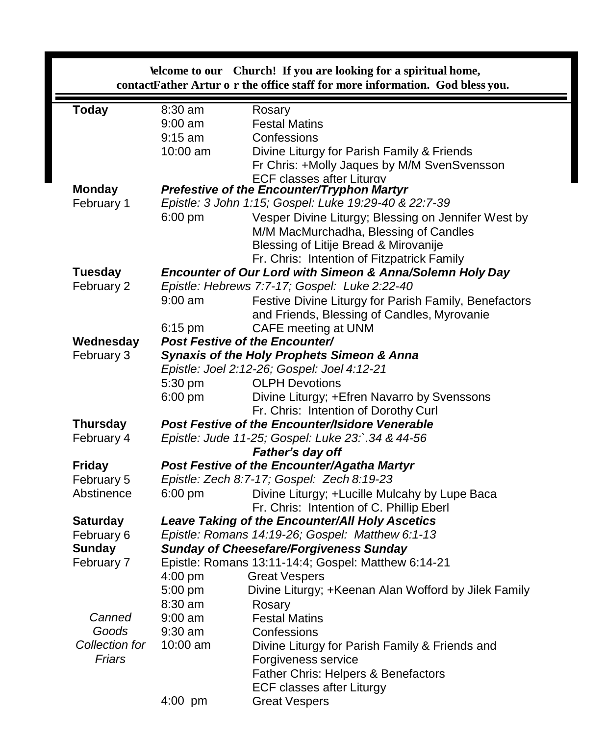| <b>Velcome to our</b> Church! If you are looking for a spiritual home,<br>contactFather Artur o r the office staff for more information. God bless you. |                                                                                                            |                                                                                              |  |  |  |
|---------------------------------------------------------------------------------------------------------------------------------------------------------|------------------------------------------------------------------------------------------------------------|----------------------------------------------------------------------------------------------|--|--|--|
| <b>Today</b>                                                                                                                                            | 8:30 am                                                                                                    | Rosary                                                                                       |  |  |  |
|                                                                                                                                                         | $9:00$ am                                                                                                  | <b>Festal Matins</b>                                                                         |  |  |  |
|                                                                                                                                                         | $9:15$ am                                                                                                  | Confessions                                                                                  |  |  |  |
|                                                                                                                                                         | $10:00$ am                                                                                                 | Divine Liturgy for Parish Family & Friends                                                   |  |  |  |
|                                                                                                                                                         |                                                                                                            | Fr Chris: +Molly Jaques by M/M SvenSvensson                                                  |  |  |  |
|                                                                                                                                                         | <b>ECF classes after Liturav</b>                                                                           |                                                                                              |  |  |  |
| <b>Monday</b>                                                                                                                                           | <b>Prefestive of the Encounter/Tryphon Martyr</b><br>Epistle: 3 John 1:15; Gospel: Luke 19:29-40 & 22:7-39 |                                                                                              |  |  |  |
| February 1                                                                                                                                              | $6:00$ pm                                                                                                  |                                                                                              |  |  |  |
|                                                                                                                                                         |                                                                                                            | Vesper Divine Liturgy; Blessing on Jennifer West by<br>M/M MacMurchadha, Blessing of Candles |  |  |  |
|                                                                                                                                                         |                                                                                                            | Blessing of Litije Bread & Mirovanije                                                        |  |  |  |
|                                                                                                                                                         |                                                                                                            | Fr. Chris: Intention of Fitzpatrick Family                                                   |  |  |  |
| <b>Tuesday</b>                                                                                                                                          | Encounter of Our Lord with Simeon & Anna/Solemn Holy Day                                                   |                                                                                              |  |  |  |
| February 2                                                                                                                                              | Epistle: Hebrews 7:7-17; Gospel: Luke 2:22-40                                                              |                                                                                              |  |  |  |
|                                                                                                                                                         | $9:00$ am                                                                                                  | Festive Divine Liturgy for Parish Family, Benefactors                                        |  |  |  |
|                                                                                                                                                         |                                                                                                            | and Friends, Blessing of Candles, Myrovanie                                                  |  |  |  |
|                                                                                                                                                         | $6:15$ pm                                                                                                  | CAFE meeting at UNM                                                                          |  |  |  |
| Wednesday                                                                                                                                               |                                                                                                            | <b>Post Festive of the Encounter/</b>                                                        |  |  |  |
| February 3                                                                                                                                              | <b>Synaxis of the Holy Prophets Simeon &amp; Anna</b>                                                      |                                                                                              |  |  |  |
|                                                                                                                                                         |                                                                                                            | Epistle: Joel 2:12-26; Gospel: Joel 4:12-21                                                  |  |  |  |
|                                                                                                                                                         | 5:30 pm                                                                                                    | <b>OLPH Devotions</b>                                                                        |  |  |  |
|                                                                                                                                                         | $6:00$ pm                                                                                                  | Divine Liturgy; +Efren Navarro by Svenssons                                                  |  |  |  |
|                                                                                                                                                         |                                                                                                            | Fr. Chris: Intention of Dorothy Curl                                                         |  |  |  |
| <b>Thursday</b>                                                                                                                                         |                                                                                                            | Post Festive of the Encounter/Isidore Venerable                                              |  |  |  |
| February 4                                                                                                                                              | Epistle: Jude 11-25; Gospel: Luke 23:`.34 & 44-56                                                          |                                                                                              |  |  |  |
|                                                                                                                                                         | Father's day off                                                                                           |                                                                                              |  |  |  |
| <b>Friday</b>                                                                                                                                           |                                                                                                            | Post Festive of the Encounter/Agatha Martyr                                                  |  |  |  |
| February 5                                                                                                                                              | Epistle: Zech 8:7-17; Gospel: Zech 8:19-23                                                                 |                                                                                              |  |  |  |
| Abstinence                                                                                                                                              | $6:00$ pm                                                                                                  | Divine Liturgy; +Lucille Mulcahy by Lupe Baca                                                |  |  |  |
|                                                                                                                                                         |                                                                                                            | Fr. Chris: Intention of C. Phillip Eberl                                                     |  |  |  |
| <b>Saturday</b><br>February 6                                                                                                                           |                                                                                                            | <b>Leave Taking of the Encounter/All Holy Ascetics</b>                                       |  |  |  |
| <b>Sunday</b>                                                                                                                                           | Epistle: Romans 14:19-26; Gospel: Matthew 6:1-13                                                           |                                                                                              |  |  |  |
| February 7                                                                                                                                              | <b>Sunday of Cheesefare/Forgiveness Sunday</b><br>Epistle: Romans 13:11-14:4; Gospel: Matthew 6:14-21      |                                                                                              |  |  |  |
|                                                                                                                                                         | 4:00 pm                                                                                                    | <b>Great Vespers</b>                                                                         |  |  |  |
|                                                                                                                                                         | 5:00 pm                                                                                                    | Divine Liturgy; +Keenan Alan Wofford by Jilek Family                                         |  |  |  |
|                                                                                                                                                         | 8:30 am                                                                                                    | Rosary                                                                                       |  |  |  |
| Canned                                                                                                                                                  | $9:00$ am                                                                                                  | <b>Festal Matins</b>                                                                         |  |  |  |
| Goods                                                                                                                                                   | 9:30 am                                                                                                    | Confessions                                                                                  |  |  |  |
| Collection for                                                                                                                                          | 10:00 am                                                                                                   | Divine Liturgy for Parish Family & Friends and                                               |  |  |  |
| Friars                                                                                                                                                  |                                                                                                            | Forgiveness service                                                                          |  |  |  |
|                                                                                                                                                         |                                                                                                            | Father Chris: Helpers & Benefactors                                                          |  |  |  |
|                                                                                                                                                         |                                                                                                            | <b>ECF classes after Liturgy</b>                                                             |  |  |  |
|                                                                                                                                                         | 4:00 pm                                                                                                    | <b>Great Vespers</b>                                                                         |  |  |  |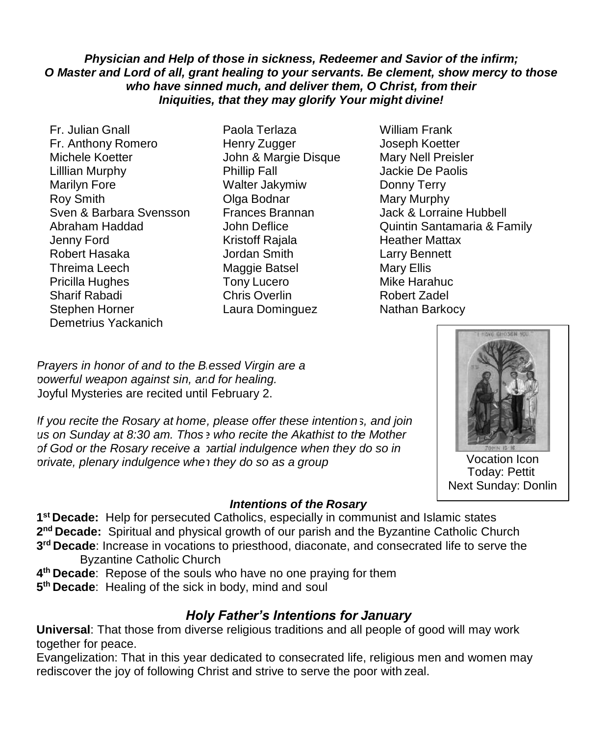### *Physician and Help of those in sickness, Redeemer and Savior of the infirm; O Master and Lord of all, grant healing to your servants. Be clement, show mercy to those who have sinned much, and deliver them, O Christ, from their Iniquities, that they may glorify Your might divine!*

- Fr. Julian Gnall Paola Terlaza William Frank Fr. Anthony Romero **Henry Zugger** Joseph Koetter Michele Koetter **John & Margie Disque** Mary Nell Preisler Lilllian Murphy Phillip Fall Jackie De Paolis Marilyn Fore Walter Jakymiw Donny Terry Roy Smith Class Colga Bodnar Mary Murphy Sven & Barbara Svensson Frances Brannan Jack & Lorraine Hubbell Jenny Ford Kristoff Rajala Heather Mattax Robert Hasaka Jordan Smith Larry Bennett Threima Leech Maggie Batsel Mary Ellis Pricilla Hughes Tony Lucero Mike Harahuc Sharif Rabadi Chris Overlin Robert Zadel Demetrius Yackanich
- Laura Dominguez Nathan Barkocy
- Abraham Haddad John Deflice Quintin Santamaria & Family

*Prayers in honor of and to the B essed Virgin are a powerful weapon against sin, an d for healing.* Joyful Mysteries are recited until February 2.

If you recite the Rosary at home, please offer these intentions, and join us on Sunday at 8:30 am. Thos  $\overline{e}$  who recite the Akathist to the Mother *of God or the Rosary receive a partial indulgence when they do so in private, plenary indulgence whe n they do so as a group*



Vocation Icon Today: Pettit Next Sunday: Donlin

## *Intentions of the Rosary*

**1 st Decade:** Help for persecuted Catholics, especially in communist and Islamic states 2<sup>nd</sup> Decade: Spiritual and physical growth of our parish and the Byzantine Catholic Church **3 rd Decade**: Increase in vocations to priesthood, diaconate, and consecrated life to serve the Byzantine Catholic Church

**4 th Decade**: Repose of the souls who have no one praying for them

**5 th Decade**: Healing of the sick in body, mind and soul

# *Holy Father's Intentions for January*

**Universal**: That those from diverse religious traditions and all people of good will may work together for peace.

Evangelization: That in this year dedicated to consecrated life, religious men and women may rediscover the joy of following Christ and strive to serve the poor with zeal.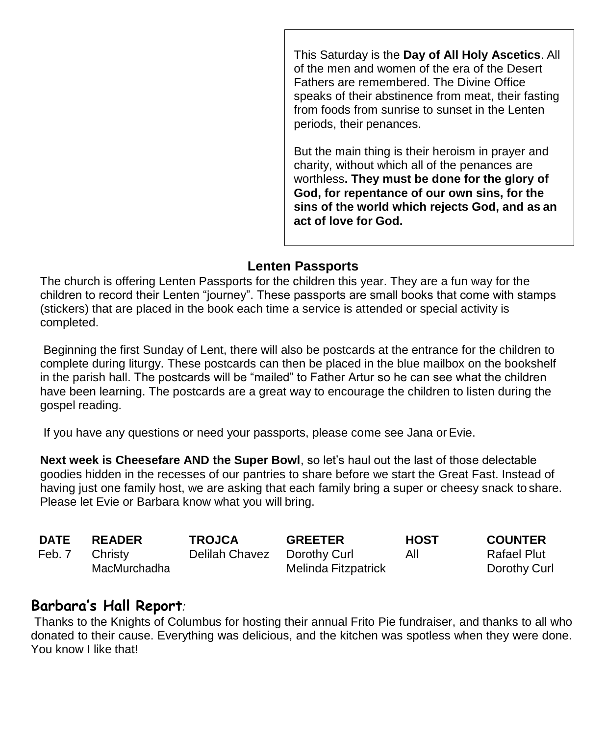This Saturday is the **Day of All Holy Ascetics**. All of the men and women of the era of the Desert Fathers are remembered. The Divine Office speaks of their abstinence from meat, their fasting from foods from sunrise to sunset in the Lenten periods, their penances.

But the main thing is their heroism in prayer and charity, without which all of the penances are worthless**. They must be done for the glory of God, for repentance of our own sins, for the sins of the world which rejects God, and as an act of love for God.**

## **Lenten Passports**

The church is offering Lenten Passports for the children this year. They are a fun way for the children to record their Lenten "journey". These passports are small books that come with stamps (stickers) that are placed in the book each time a service is attended or special activity is completed.

Beginning the first Sunday of Lent, there will also be postcards at the entrance for the children to complete during liturgy. These postcards can then be placed in the blue mailbox on the bookshelf in the parish hall. The postcards will be "mailed" to Father Artur so he can see what the children have been learning. The postcards are a great way to encourage the children to listen during the gospel reading.

If you have any questions or need your passports, please come see Jana or Evie.

**Next week is Cheesefare AND the Super Bowl**, so let's haul out the last of those delectable goodies hidden in the recesses of our pantries to share before we start the Great Fast. Instead of having just one family host, we are asking that each family bring a super or cheesy snack to share. Please let Evie or Barbara know what you will bring.

| DATE   | <b>READER</b> | <b>TROJCA</b>  | <b>GREETER</b>      | <b>HOST</b> | <b>COUNTER</b> |
|--------|---------------|----------------|---------------------|-------------|----------------|
| Feb. 7 | Christy       | Delilah Chavez | Dorothy Curl        | All         | Rafael Plut    |
|        | MacMurchadha  |                | Melinda Fitzpatrick |             | Dorothy Curl   |

# **Barbara's Hall Report***:*

Thanks to the Knights of Columbus for hosting their annual Frito Pie fundraiser, and thanks to all who donated to their cause. Everything was delicious, and the kitchen was spotless when they were done. You know I like that!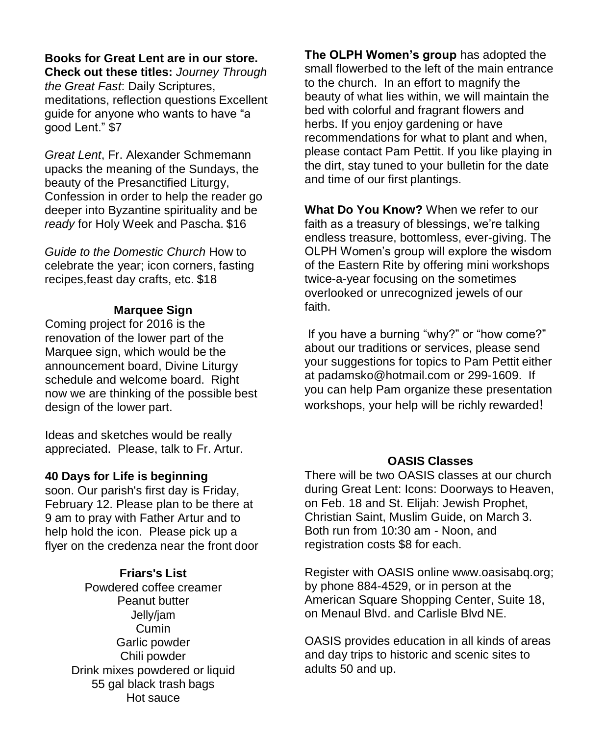## **Books for Great Lent are in our store.**

**Check out these titles:** *Journey Through the Great Fast*: Daily Scriptures, meditations, reflection questions Excellent guide for anyone who wants to have "a good Lent." \$7

*Great Lent*, Fr. Alexander Schmemann upacks the meaning of the Sundays, the beauty of the Presanctified Liturgy, Confession in order to help the reader go deeper into Byzantine spirituality and be *ready* for Holy Week and Pascha. \$16

*Guide to the Domestic Church* How to celebrate the year; icon corners, fasting recipes,feast day crafts, etc. \$18

### **Marquee Sign**

Coming project for 2016 is the renovation of the lower part of the Marquee sign, which would be the announcement board, Divine Liturgy schedule and welcome board. Right now we are thinking of the possible best design of the lower part.

Ideas and sketches would be really appreciated. Please, talk to Fr. Artur.

## **40 Days for Life is beginning**

soon. Our parish's first day is Friday, February 12. Please plan to be there at 9 am to pray with Father Artur and to help hold the icon. Please pick up a flyer on the credenza near the front door

### **Friars's List**

Powdered coffee creamer Peanut butter Jelly/jam Cumin Garlic powder Chili powder Drink mixes powdered or liquid 55 gal black trash bags Hot sauce

**The OLPH Women's group** has adopted the small flowerbed to the left of the main entrance to the church. In an effort to magnify the beauty of what lies within, we will maintain the bed with colorful and fragrant flowers and herbs. If you enjoy gardening or have recommendations for what to plant and when, please contact Pam Pettit. If you like playing in the dirt, stay tuned to your bulletin for the date and time of our first plantings.

**What Do You Know?** When we refer to our faith as a treasury of blessings, we're talking endless treasure, bottomless, ever-giving. The OLPH Women's group will explore the wisdom of the Eastern Rite by offering mini workshops twice-a-year focusing on the sometimes overlooked or unrecognized jewels of our faith.

If you have a burning "why?" or "how come?" about our traditions or services, please send your suggestions for topics to Pam Pettit either at [padamsko@hotmail.com](mailto:padamsko@hotmail.com) or 299-1609. If you can help Pam organize these presentation workshops, your help will be richly rewarded!

### **OASIS Classes**

There will be two OASIS classes at our church during Great Lent: Icons: Doorways to Heaven, on Feb. 18 and St. Elijah: Jewish Prophet, Christian Saint, Muslim Guide, on March 3. Both run from 10:30 am - Noon, and registration costs \$8 for each.

Register with OASIS online [www.oasisabq.org;](http://www.oasisabq.org/) by phone 884-4529, or in person at the American Square Shopping Center, Suite 18, on Menaul Blvd. and Carlisle Blvd NE.

OASIS provides education in all kinds of areas and day trips to historic and scenic sites to adults 50 and up.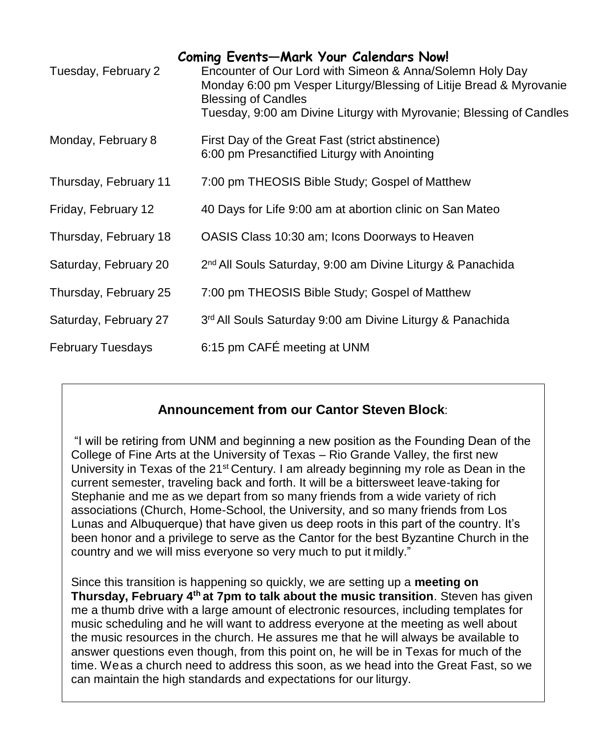| Tuesday, February 2      | <b>Coming Events-Mark Your Calendars Now!</b><br>Encounter of Our Lord with Simeon & Anna/Solemn Holy Day<br>Monday 6:00 pm Vesper Liturgy/Blessing of Litije Bread & Myrovanie<br><b>Blessing of Candles</b><br>Tuesday, 9:00 am Divine Liturgy with Myrovanie; Blessing of Candles |
|--------------------------|--------------------------------------------------------------------------------------------------------------------------------------------------------------------------------------------------------------------------------------------------------------------------------------|
| Monday, February 8       | First Day of the Great Fast (strict abstinence)<br>6:00 pm Presanctified Liturgy with Anointing                                                                                                                                                                                      |
| Thursday, February 11    | 7:00 pm THEOSIS Bible Study; Gospel of Matthew                                                                                                                                                                                                                                       |
| Friday, February 12      | 40 Days for Life 9:00 am at abortion clinic on San Mateo                                                                                                                                                                                                                             |
| Thursday, February 18    | OASIS Class 10:30 am; Icons Doorways to Heaven                                                                                                                                                                                                                                       |
| Saturday, February 20    | 2 <sup>nd</sup> All Souls Saturday, 9:00 am Divine Liturgy & Panachida                                                                                                                                                                                                               |
| Thursday, February 25    | 7:00 pm THEOSIS Bible Study; Gospel of Matthew                                                                                                                                                                                                                                       |
| Saturday, February 27    | 3rd All Souls Saturday 9:00 am Divine Liturgy & Panachida                                                                                                                                                                                                                            |
| <b>February Tuesdays</b> | 6:15 pm CAFÉ meeting at UNM                                                                                                                                                                                                                                                          |

# **Announcement from our Cantor Steven Block**:

University in Texas of the 21<sup>st</sup> Century. I am already beginning my role as Dean in the "I will be retiring from UNM and beginning a new position as the Founding Dean of the College of Fine Arts at the University of Texas – Rio Grande Valley, the first new current semester, traveling back and forth. It will be a bittersweet leave-taking for Stephanie and me as we depart from so many friends from a wide variety of rich associations (Church, Home-School, the University, and so many friends from Los Lunas and Albuquerque) that have given us deep roots in this part of the country. It's been honor and a privilege to serve as the Cantor for the best Byzantine Church in the country and we will miss everyone so very much to put it mildly."

Since this transition is happening so quickly, we are setting up a **meeting on Thursday, February 4th at 7pm to talk about the music transition**. Steven has given me a thumb drive with a large amount of electronic resources, including templates for music scheduling and he will want to address everyone at the meeting as well about the music resources in the church. He assures me that he will always be available to answer questions even though, from this point on, he will be in Texas for much of the time. Weas a church need to address this soon, as we head into the Great Fast, so we can maintain the high standards and expectations for our liturgy.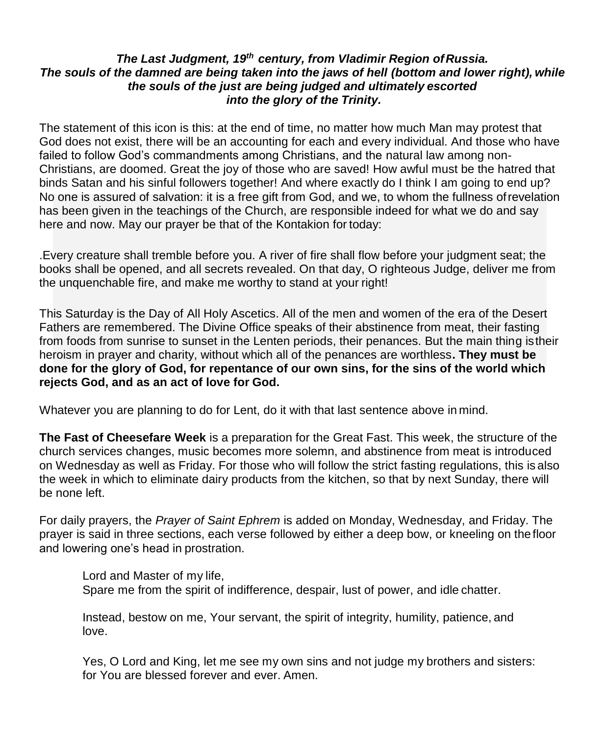### *The Last Judgment, 19th century, from Vladimir Region ofRussia. The souls of the damned are being taken into the jaws of hell (bottom and lower right), while the souls of the just are being judged and ultimately escorted into the glory of the Trinity.*

The statement of this icon is this: at the end of time, no matter how much Man may protest that God does not exist, there will be an accounting for each and every individual. And those who have failed to follow God's commandments among Christians, and the natural law among non-Christians, are doomed. Great the joy of those who are saved! How awful must be the hatred that binds Satan and his sinful followers together! And where exactly do I think I am going to end up? No one is assured of salvation: it is a free gift from God, and we, to whom the fullness ofrevelation has been given in the teachings of the Church, are responsible indeed for what we do and say here and now. May our prayer be that of the Kontakion for today:

.Every creature shall tremble before you. A river of fire shall flow before your judgment seat; the books shall be opened, and all secrets revealed. On that day, O righteous Judge, deliver me from the unquenchable fire, and make me worthy to stand at your right!

This Saturday is the Day of All Holy Ascetics. All of the men and women of the era of the Desert Fathers are remembered. The Divine Office speaks of their abstinence from meat, their fasting from foods from sunrise to sunset in the Lenten periods, their penances. But the main thing istheir heroism in prayer and charity, without which all of the penances are worthless**. They must be done for the glory of God, for repentance of our own sins, for the sins of the world which rejects God, and as an act of love for God.**

Whatever you are planning to do for Lent, do it with that last sentence above in mind.

**The Fast of Cheesefare Week** is a preparation for the Great Fast. This week, the structure of the church services changes, music becomes more solemn, and abstinence from meat is introduced on Wednesday as well as Friday. For those who will follow the strict fasting regulations, this is also the week in which to eliminate dairy products from the kitchen, so that by next Sunday, there will be none left.

For daily prayers, the *Prayer of Saint Ephrem* is added on Monday, Wednesday, and Friday. The prayer is said in three sections, each verse followed by either a deep bow, or kneeling on the floor and lowering one's head in prostration.

Lord and Master of my life, Spare me from the spirit of indifference, despair, lust of power, and idle chatter.

Instead, bestow on me, Your servant, the spirit of integrity, humility, patience, and love.

Yes, O Lord and King, let me see my own sins and not judge my brothers and sisters: for You are blessed forever and ever. Amen.